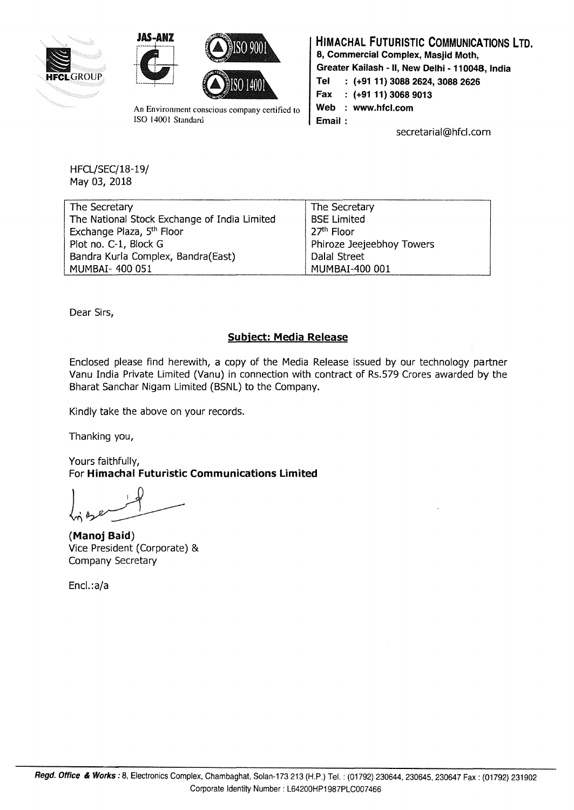





An Environment conscious company certified to ISO 14001 Standard

HIMACHAL FUTURISTIC COMMUNICATIONS LTD. 8, Commercial Complex, Masjid Moth, Greater Kailash - II, New Delhi - 110048, India Tel : (+9111) 3088 2624,3088 2626 Fax : (+91 11) 3068 9013 Web : www.hfcl.com Email: secretarial@hfcl.com

HFCL/SEC/18-19/ May 03, 2018

| The Secretary                                | The Secretary             |
|----------------------------------------------|---------------------------|
| The National Stock Exchange of India Limited | <b>BSE Limited</b>        |
| Exchange Plaza, 5th Floor                    | 27 <sup>th</sup> Floor    |
| Plot no. C-1, Block G                        | Phiroze Jeejeebhoy Towers |
| Bandra Kurla Complex, Bandra(East)           | Dalal Street              |
| MUMBAI- 400 051                              | MUMBAI-400 001            |

Dear Sirs,

## Subject: Media Release

Enclosed please find herewith, a copy of the Media Release issued by our technology partner Vanu India Private Limited (Vanu) in connection with contract of Rs.579 Crores awarded by the Bharat Sanchar Nigam Limited (BSNL) to the Company.

Kindly take the above on your records.

Thanking you,

Yours faithfully, For Himachal Futuristic Communications limited

(Manoj Baid) Vice President (Corporate) & Company Secretary

Encl.:a/a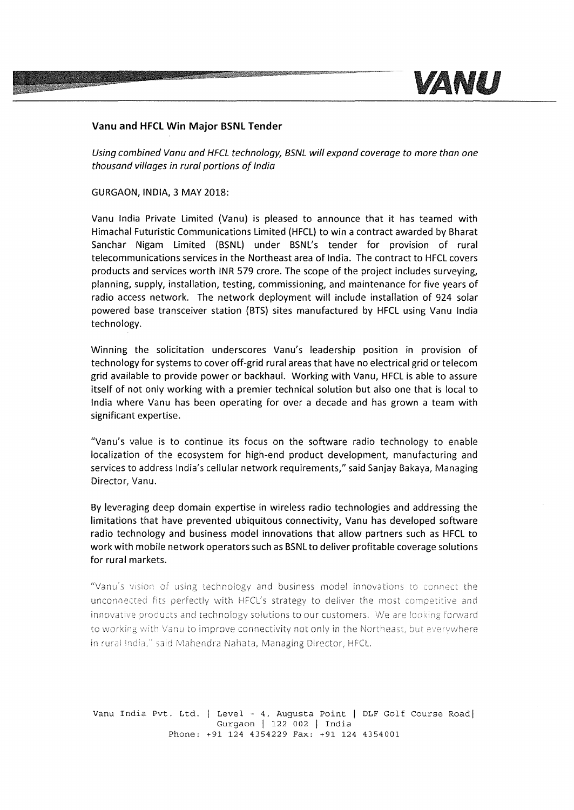

## **Vanu and HFCL Win Major BSNL Tender**

Using combined Vanu and HFCL technology, BSNL will expand coverage to more than one thousand villages in rural portions af India

GURGAON, INDIA, 3 MAY 2018:

Vanu India Private Limited (Vanu) is pleased to announce that it has teamed with Himachal Futuristic Communications Limited (HFCL) to win a contract awarded by Bharat Sanchar Nigam Limited (BSNL) under BSNL's tender for provision of rural telecommunications services in the Northeast area of India. The contract to HFCL covers products and services worth INR 579 crore. The scope of the project includes surveying, planning, supply, installation, testing, commissioning, and maintenance for five years of radio access network. The network deployment will include installation of 924 solar powered base transceiver station (BTS) sites manufactured by HFCL using Vanu India technology.

Winning the solicitation underscores Vanu's leadership position in provision of technology for systems to cover off-grid rural areas that have no electrical grid or telecom grid available to provide power or backhaul. Working with Vanu, HFCL is able to assure itself of not only working with a premier technical solution but also one that is local to India where Vanu has been operating for over a decade and has grown a team with significant expertise.

"Vanu's value is to continue its focus on the software radio technology to enable localization of the ecosystem for high-end product development, manufacturing and services to address India's cellular network requirements," said Sanjay Bakaya, Managing Director, Vanu.

By leveraging deep domain expertise in wireless radio technologies and addressing the limitations that have prevented ubiquitous connectivity, Vanu has developed software radio technology and business model innovations that allow partners such as HFCL to work with mobile network operators such as BSNL to deliver profitable coverage solutions for rural markets.

"Vanu's vision of using technology and business model innovations to connect the unconnected fits perfectly with HFCL's strategy to deliver the most competitive and innovative products and technology solutions to our customers. We are looking forward to working with Vanu to improve connectivity not only in the Northeast, but everywhere in rural India," said Mahendra Nahata, Managing Director, HFCL.

Vanu India Pvt. Ltd. | Level - 4, Augusta Point | DLF Golf Course Road| Gurgaon | 122 002 | India Phone: +91 124 4354229 Fax: +91 124 4354001